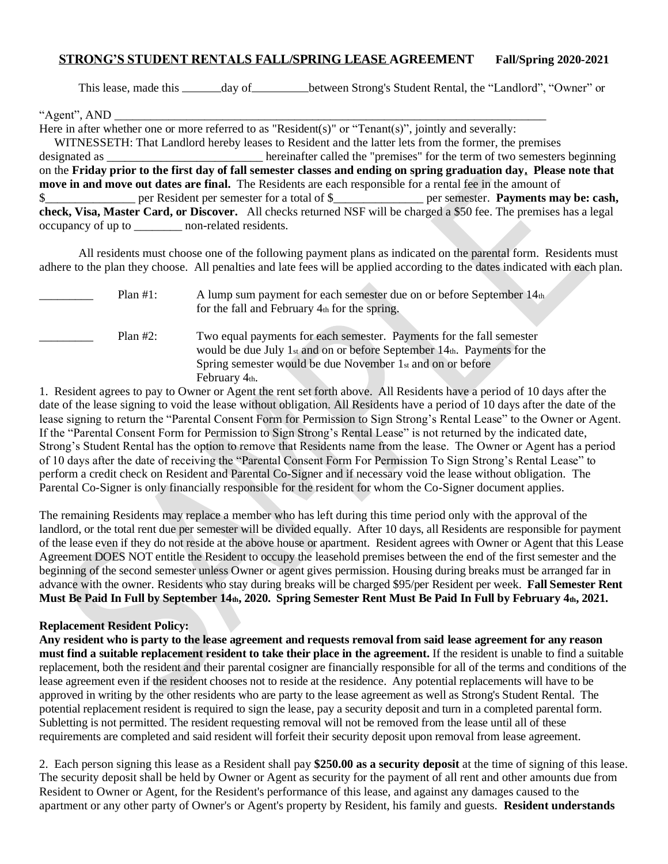## **STRONG'S STUDENT RENTALS FALL/SPRING LEASE AGREEMENT Fall/Spring 2020-2021**

This lease, made this \_\_\_\_\_\_ day of \_\_\_\_\_\_\_\_ between Strong's Student Rental, the "Landlord", "Owner" or

"Agent", AND \_\_\_\_\_\_\_\_\_\_\_\_\_\_\_\_\_\_\_\_\_\_\_\_\_\_\_\_\_\_\_\_\_\_\_\_\_\_\_\_\_\_\_\_\_\_\_\_\_\_\_\_\_\_\_\_\_\_\_\_\_\_\_\_\_\_\_\_\_\_\_\_

Here in after whether one or more referred to as "Resident(s)" or "Tenant(s)", jointly and severally:

 WITNESSETH: That Landlord hereby leases to Resident and the latter lets from the former, the premises designated as \_\_\_\_\_\_\_\_\_\_\_\_\_\_\_\_\_\_\_\_\_\_\_\_\_\_ hereinafter called the "premises" for the term of two semesters beginning on the **Friday prior to the first day of fall semester classes and ending on spring graduation day. Please note that move in and move out dates are final.** The Residents are each responsible for a rental fee in the amount of \$\_\_\_\_\_\_\_\_\_\_\_\_\_\_\_ per Resident per semester for a total of \$\_\_\_\_\_\_\_\_\_\_\_\_\_\_\_ per semester. **Payments may be: cash, check, Visa, Master Card, or Discover.** All checks returned NSF will be charged a \$50 fee. The premises has a legal occupancy of up to \_\_\_\_\_\_\_\_ non-related residents.

All residents must choose one of the following payment plans as indicated on the parental form. Residents must adhere to the plan they choose. All penalties and late fees will be applied according to the dates indicated with each plan.

| Plan $#1$ : | A lump sum payment for each semester due on or before September 14th<br>for the fall and February 4th for the spring.                                                                                                          |
|-------------|--------------------------------------------------------------------------------------------------------------------------------------------------------------------------------------------------------------------------------|
| Plan $#2$ : | Two equal payments for each semester. Payments for the fall semester<br>would be due July 1st and on or before September 14th. Payments for the<br>Spring semester would be due November 1st and on or before<br>February 4th. |

1. Resident agrees to pay to Owner or Agent the rent set forth above. All Residents have a period of 10 days after the date of the lease signing to void the lease without obligation. All Residents have a period of 10 days after the date of the lease signing to return the "Parental Consent Form for Permission to Sign Strong's Rental Lease" to the Owner or Agent. If the "Parental Consent Form for Permission to Sign Strong's Rental Lease" is not returned by the indicated date, Strong's Student Rental has the option to remove that Residents name from the lease. The Owner or Agent has a period of 10 days after the date of receiving the "Parental Consent Form For Permission To Sign Strong's Rental Lease" to perform a credit check on Resident and Parental Co-Signer and if necessary void the lease without obligation. The Parental Co-Signer is only financially responsible for the resident for whom the Co-Signer document applies.

The remaining Residents may replace a member who has left during this time period only with the approval of the landlord, or the total rent due per semester will be divided equally. After 10 days, all Residents are responsible for payment of the lease even if they do not reside at the above house or apartment. Resident agrees with Owner or Agent that this Lease Agreement DOES NOT entitle the Resident to occupy the leasehold premises between the end of the first semester and the beginning of the second semester unless Owner or agent gives permission. Housing during breaks must be arranged far in advance with the owner. Residents who stay during breaks will be charged \$95/per Resident per week. **Fall Semester Rent Must Be Paid In Full by September 14th, 2020. Spring Semester Rent Must Be Paid In Full by February 4th, 2021.** 

## **Replacement Resident Policy:**

**Any resident who is party to the lease agreement and requests removal from said lease agreement for any reason must find a suitable replacement resident to take their place in the agreement.** If the resident is unable to find a suitable replacement, both the resident and their parental cosigner are financially responsible for all of the terms and conditions of the lease agreement even if the resident chooses not to reside at the residence. Any potential replacements will have to be approved in writing by the other residents who are party to the lease agreement as well as Strong's Student Rental. The potential replacement resident is required to sign the lease, pay a security deposit and turn in a completed parental form. Subletting is not permitted. The resident requesting removal will not be removed from the lease until all of these requirements are completed and said resident will forfeit their security deposit upon removal from lease agreement.

2. Each person signing this lease as a Resident shall pay **\$250.00 as a security deposit** at the time of signing of this lease. The security deposit shall be held by Owner or Agent as security for the payment of all rent and other amounts due from Resident to Owner or Agent, for the Resident's performance of this lease, and against any damages caused to the apartment or any other party of Owner's or Agent's property by Resident, his family and guests. **Resident understands**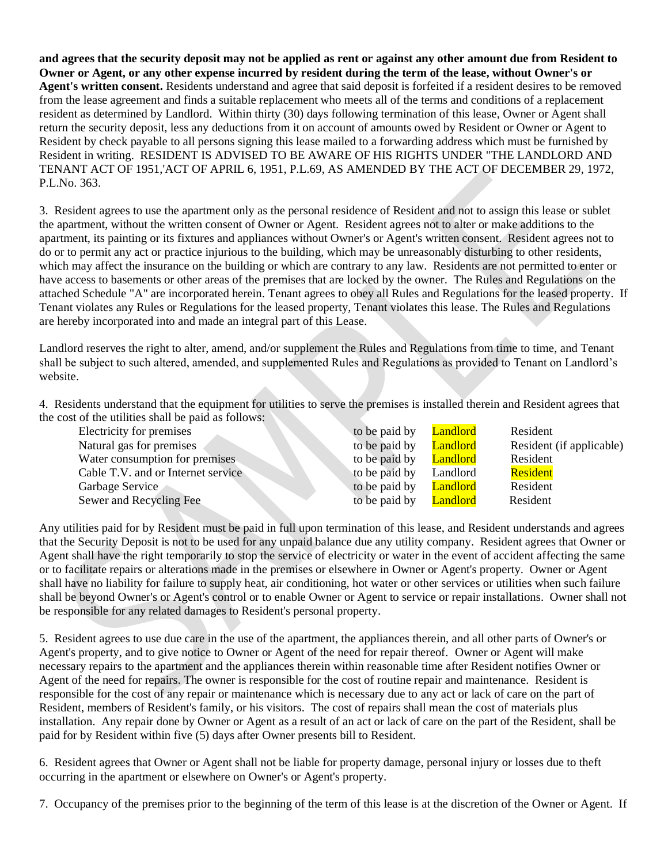**and agrees that the security deposit may not be applied as rent or against any other amount due from Resident to Owner or Agent, or any other expense incurred by resident during the term of the lease, without Owner's or Agent's written consent.** Residents understand and agree that said deposit is forfeited if a resident desires to be removed from the lease agreement and finds a suitable replacement who meets all of the terms and conditions of a replacement resident as determined by Landlord. Within thirty (30) days following termination of this lease, Owner or Agent shall return the security deposit, less any deductions from it on account of amounts owed by Resident or Owner or Agent to Resident by check payable to all persons signing this lease mailed to a forwarding address which must be furnished by Resident in writing. RESIDENT IS ADVISED TO BE AWARE OF HIS RIGHTS UNDER "THE LANDLORD AND TENANT ACT OF 1951,'ACT OF APRIL 6, 1951, P.L.69, AS AMENDED BY THE ACT OF DECEMBER 29, 1972, P.L.No. 363.

3. Resident agrees to use the apartment only as the personal residence of Resident and not to assign this lease or sublet the apartment, without the written consent of Owner or Agent. Resident agrees not to alter or make additions to the apartment, its painting or its fixtures and appliances without Owner's or Agent's written consent. Resident agrees not to do or to permit any act or practice injurious to the building, which may be unreasonably disturbing to other residents, which may affect the insurance on the building or which are contrary to any law. Residents are not permitted to enter or have access to basements or other areas of the premises that are locked by the owner. The Rules and Regulations on the attached Schedule "A" are incorporated herein. Tenant agrees to obey all Rules and Regulations for the leased property. If Tenant violates any Rules or Regulations for the leased property, Tenant violates this lease. The Rules and Regulations are hereby incorporated into and made an integral part of this Lease.

Landlord reserves the right to alter, amend, and/or supplement the Rules and Regulations from time to time, and Tenant shall be subject to such altered, amended, and supplemented Rules and Regulations as provided to Tenant on Landlord's website.

4. Residents understand that the equipment for utilities to serve the premises is installed therein and Resident agrees that the cost of the utilities shall be paid as follows:

| Electricity for premises           | to be paid by | Landlord | Resident                 |
|------------------------------------|---------------|----------|--------------------------|
| Natural gas for premises           | to be paid by | Landlord | Resident (if applicable) |
| Water consumption for premises     | to be paid by | Landlord | Resident                 |
| Cable T.V. and or Internet service | to be paid by | Landlord | Resident                 |
| Garbage Service                    | to be paid by | Landlord | Resident                 |
| Sewer and Recycling Fee            | to be paid by | Landlord | Resident                 |

Any utilities paid for by Resident must be paid in full upon termination of this lease, and Resident understands and agrees that the Security Deposit is not to be used for any unpaid balance due any utility company. Resident agrees that Owner or Agent shall have the right temporarily to stop the service of electricity or water in the event of accident affecting the same or to facilitate repairs or alterations made in the premises or elsewhere in Owner or Agent's property. Owner or Agent shall have no liability for failure to supply heat, air conditioning, hot water or other services or utilities when such failure shall be beyond Owner's or Agent's control or to enable Owner or Agent to service or repair installations. Owner shall not be responsible for any related damages to Resident's personal property.

5. Resident agrees to use due care in the use of the apartment, the appliances therein, and all other parts of Owner's or Agent's property, and to give notice to Owner or Agent of the need for repair thereof. Owner or Agent will make necessary repairs to the apartment and the appliances therein within reasonable time after Resident notifies Owner or Agent of the need for repairs. The owner is responsible for the cost of routine repair and maintenance. Resident is responsible for the cost of any repair or maintenance which is necessary due to any act or lack of care on the part of Resident, members of Resident's family, or his visitors. The cost of repairs shall mean the cost of materials plus installation. Any repair done by Owner or Agent as a result of an act or lack of care on the part of the Resident, shall be paid for by Resident within five (5) days after Owner presents bill to Resident.

6. Resident agrees that Owner or Agent shall not be liable for property damage, personal injury or losses due to theft occurring in the apartment or elsewhere on Owner's or Agent's property.

7. Occupancy of the premises prior to the beginning of the term of this lease is at the discretion of the Owner or Agent. If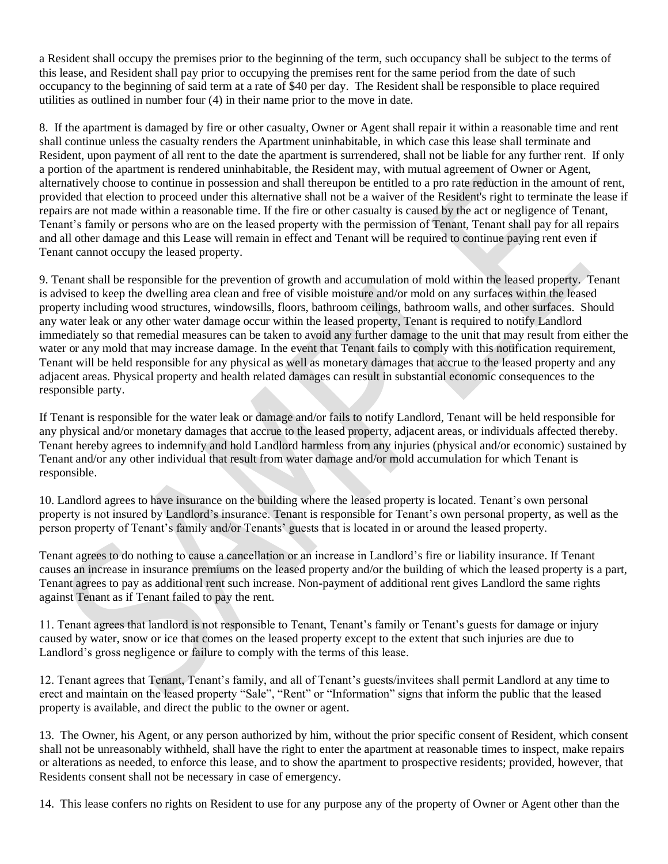a Resident shall occupy the premises prior to the beginning of the term, such occupancy shall be subject to the terms of this lease, and Resident shall pay prior to occupying the premises rent for the same period from the date of such occupancy to the beginning of said term at a rate of \$40 per day. The Resident shall be responsible to place required utilities as outlined in number four (4) in their name prior to the move in date.

8. If the apartment is damaged by fire or other casualty, Owner or Agent shall repair it within a reasonable time and rent shall continue unless the casualty renders the Apartment uninhabitable, in which case this lease shall terminate and Resident, upon payment of all rent to the date the apartment is surrendered, shall not be liable for any further rent. If only a portion of the apartment is rendered uninhabitable, the Resident may, with mutual agreement of Owner or Agent, alternatively choose to continue in possession and shall thereupon be entitled to a pro rate reduction in the amount of rent, provided that election to proceed under this alternative shall not be a waiver of the Resident's right to terminate the lease if repairs are not made within a reasonable time. If the fire or other casualty is caused by the act or negligence of Tenant, Tenant's family or persons who are on the leased property with the permission of Tenant, Tenant shall pay for all repairs and all other damage and this Lease will remain in effect and Tenant will be required to continue paying rent even if Tenant cannot occupy the leased property.

9. Tenant shall be responsible for the prevention of growth and accumulation of mold within the leased property. Tenant is advised to keep the dwelling area clean and free of visible moisture and/or mold on any surfaces within the leased property including wood structures, windowsills, floors, bathroom ceilings, bathroom walls, and other surfaces. Should any water leak or any other water damage occur within the leased property, Tenant is required to notify Landlord immediately so that remedial measures can be taken to avoid any further damage to the unit that may result from either the water or any mold that may increase damage. In the event that Tenant fails to comply with this notification requirement, Tenant will be held responsible for any physical as well as monetary damages that accrue to the leased property and any adjacent areas. Physical property and health related damages can result in substantial economic consequences to the responsible party.

If Tenant is responsible for the water leak or damage and/or fails to notify Landlord, Tenant will be held responsible for any physical and/or monetary damages that accrue to the leased property, adjacent areas, or individuals affected thereby. Tenant hereby agrees to indemnify and hold Landlord harmless from any injuries (physical and/or economic) sustained by Tenant and/or any other individual that result from water damage and/or mold accumulation for which Tenant is responsible.

10. Landlord agrees to have insurance on the building where the leased property is located. Tenant's own personal property is not insured by Landlord's insurance. Tenant is responsible for Tenant's own personal property, as well as the person property of Tenant's family and/or Tenants' guests that is located in or around the leased property.

Tenant agrees to do nothing to cause a cancellation or an increase in Landlord's fire or liability insurance. If Tenant causes an increase in insurance premiums on the leased property and/or the building of which the leased property is a part, Tenant agrees to pay as additional rent such increase. Non-payment of additional rent gives Landlord the same rights against Tenant as if Tenant failed to pay the rent.

11. Tenant agrees that landlord is not responsible to Tenant, Tenant's family or Tenant's guests for damage or injury caused by water, snow or ice that comes on the leased property except to the extent that such injuries are due to Landlord's gross negligence or failure to comply with the terms of this lease.

12. Tenant agrees that Tenant, Tenant's family, and all of Tenant's guests/invitees shall permit Landlord at any time to erect and maintain on the leased property "Sale", "Rent" or "Information" signs that inform the public that the leased property is available, and direct the public to the owner or agent.

13. The Owner, his Agent, or any person authorized by him, without the prior specific consent of Resident, which consent shall not be unreasonably withheld, shall have the right to enter the apartment at reasonable times to inspect, make repairs or alterations as needed, to enforce this lease, and to show the apartment to prospective residents; provided, however, that Residents consent shall not be necessary in case of emergency.

14. This lease confers no rights on Resident to use for any purpose any of the property of Owner or Agent other than the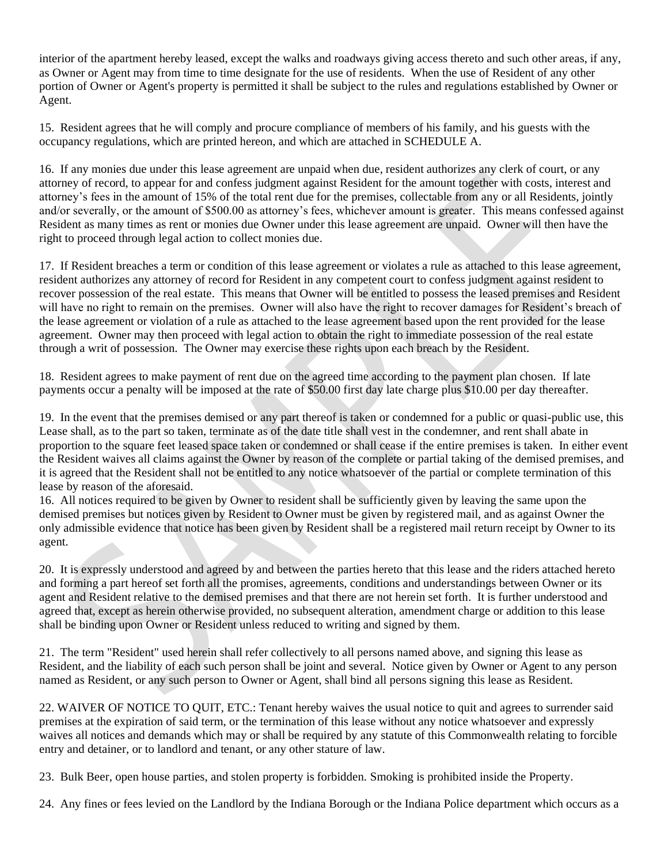interior of the apartment hereby leased, except the walks and roadways giving access thereto and such other areas, if any, as Owner or Agent may from time to time designate for the use of residents. When the use of Resident of any other portion of Owner or Agent's property is permitted it shall be subject to the rules and regulations established by Owner or Agent.

15. Resident agrees that he will comply and procure compliance of members of his family, and his guests with the occupancy regulations, which are printed hereon, and which are attached in SCHEDULE A.

16. If any monies due under this lease agreement are unpaid when due, resident authorizes any clerk of court, or any attorney of record, to appear for and confess judgment against Resident for the amount together with costs, interest and attorney's fees in the amount of 15% of the total rent due for the premises, collectable from any or all Residents, jointly and/or severally, or the amount of \$500.00 as attorney's fees, whichever amount is greater. This means confessed against Resident as many times as rent or monies due Owner under this lease agreement are unpaid. Owner will then have the right to proceed through legal action to collect monies due.

17. If Resident breaches a term or condition of this lease agreement or violates a rule as attached to this lease agreement, resident authorizes any attorney of record for Resident in any competent court to confess judgment against resident to recover possession of the real estate. This means that Owner will be entitled to possess the leased premises and Resident will have no right to remain on the premises. Owner will also have the right to recover damages for Resident's breach of the lease agreement or violation of a rule as attached to the lease agreement based upon the rent provided for the lease agreement. Owner may then proceed with legal action to obtain the right to immediate possession of the real estate through a writ of possession. The Owner may exercise these rights upon each breach by the Resident.

18. Resident agrees to make payment of rent due on the agreed time according to the payment plan chosen. If late payments occur a penalty will be imposed at the rate of \$50.00 first day late charge plus \$10.00 per day thereafter.

19. In the event that the premises demised or any part thereof is taken or condemned for a public or quasi-public use, this Lease shall, as to the part so taken, terminate as of the date title shall vest in the condemner, and rent shall abate in proportion to the square feet leased space taken or condemned or shall cease if the entire premises is taken. In either event the Resident waives all claims against the Owner by reason of the complete or partial taking of the demised premises, and it is agreed that the Resident shall not be entitled to any notice whatsoever of the partial or complete termination of this lease by reason of the aforesaid.

16. All notices required to be given by Owner to resident shall be sufficiently given by leaving the same upon the demised premises but notices given by Resident to Owner must be given by registered mail, and as against Owner the only admissible evidence that notice has been given by Resident shall be a registered mail return receipt by Owner to its agent.

20. It is expressly understood and agreed by and between the parties hereto that this lease and the riders attached hereto and forming a part hereof set forth all the promises, agreements, conditions and understandings between Owner or its agent and Resident relative to the demised premises and that there are not herein set forth. It is further understood and agreed that, except as herein otherwise provided, no subsequent alteration, amendment charge or addition to this lease shall be binding upon Owner or Resident unless reduced to writing and signed by them.

21. The term "Resident" used herein shall refer collectively to all persons named above, and signing this lease as Resident, and the liability of each such person shall be joint and several. Notice given by Owner or Agent to any person named as Resident, or any such person to Owner or Agent, shall bind all persons signing this lease as Resident.

22. WAIVER OF NOTICE TO QUIT, ETC.: Tenant hereby waives the usual notice to quit and agrees to surrender said premises at the expiration of said term, or the termination of this lease without any notice whatsoever and expressly waives all notices and demands which may or shall be required by any statute of this Commonwealth relating to forcible entry and detainer, or to landlord and tenant, or any other stature of law.

23. Bulk Beer, open house parties, and stolen property is forbidden. Smoking is prohibited inside the Property.

24. Any fines or fees levied on the Landlord by the Indiana Borough or the Indiana Police department which occurs as a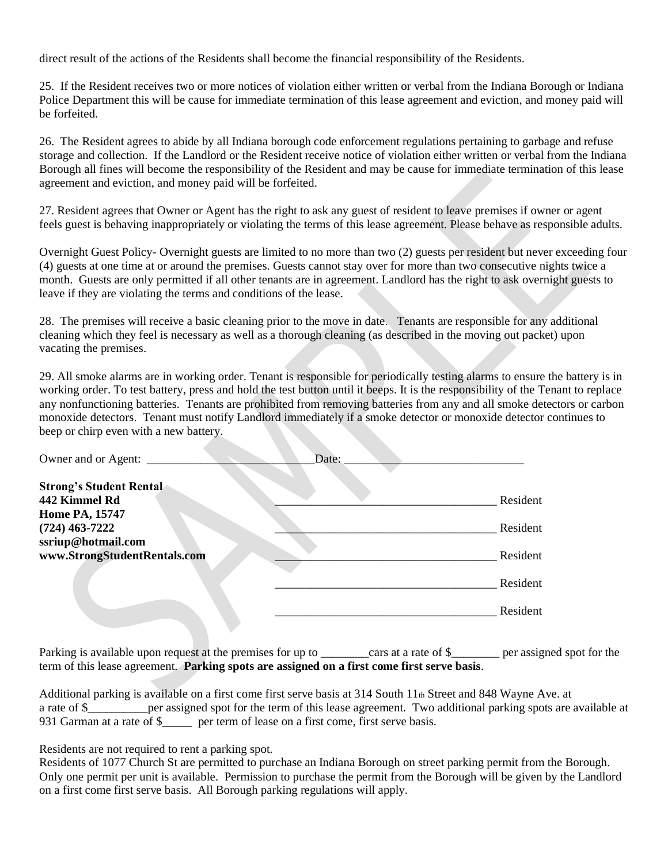direct result of the actions of the Residents shall become the financial responsibility of the Residents.

25. If the Resident receives two or more notices of violation either written or verbal from the Indiana Borough or Indiana Police Department this will be cause for immediate termination of this lease agreement and eviction, and money paid will be forfeited.

26. The Resident agrees to abide by all Indiana borough code enforcement regulations pertaining to garbage and refuse storage and collection. If the Landlord or the Resident receive notice of violation either written or verbal from the Indiana Borough all fines will become the responsibility of the Resident and may be cause for immediate termination of this lease agreement and eviction, and money paid will be forfeited.

27. Resident agrees that Owner or Agent has the right to ask any guest of resident to leave premises if owner or agent feels guest is behaving inappropriately or violating the terms of this lease agreement. Please behave as responsible adults.

Overnight Guest Policy- Overnight guests are limited to no more than two (2) guests per resident but never exceeding four (4) guests at one time at or around the premises. Guests cannot stay over for more than two consecutive nights twice a month. Guests are only permitted if all other tenants are in agreement. Landlord has the right to ask overnight guests to leave if they are violating the terms and conditions of the lease.

28. The premises will receive a basic cleaning prior to the move in date. Tenants are responsible for any additional cleaning which they feel is necessary as well as a thorough cleaning (as described in the moving out packet) upon vacating the premises.

29. All smoke alarms are in working order. Tenant is responsible for periodically testing alarms to ensure the battery is in working order. To test battery, press and hold the test button until it beeps. It is the responsibility of the Tenant to replace any nonfunctioning batteries. Tenants are prohibited from removing batteries from any and all smoke detectors or carbon monoxide detectors. Tenant must notify Landlord immediately if a smoke detector or monoxide detector continues to beep or chirp even with a new battery.

| Owner and or Agent:                                                                          | Date: |                      |
|----------------------------------------------------------------------------------------------|-------|----------------------|
| <b>Strong's Student Rental</b><br>442 Kimmel Rd<br><b>Home PA, 15747</b><br>$(724)$ 463-7222 |       | Resident<br>Resident |
| ssriup@hotmail.com<br>www.StrongStudentRentals.com                                           |       | Resident             |
|                                                                                              |       | Resident             |
|                                                                                              |       | Resident             |

Parking is available upon request at the premises for up to cars at a rate of \$\_\_\_\_\_\_ per assigned spot for the term of this lease agreement. **Parking spots are assigned on a first come first serve basis**.

Additional parking is available on a first come first serve basis at 314 South 11th Street and 848 Wayne Ave. at a rate of \$\_\_\_\_\_\_\_\_\_\_per assigned spot for the term of this lease agreement. Two additional parking spots are available at 931 Garman at a rate of \$\_\_\_\_\_ per term of lease on a first come, first serve basis.

Residents are not required to rent a parking spot.

Residents of 1077 Church St are permitted to purchase an Indiana Borough on street parking permit from the Borough. Only one permit per unit is available. Permission to purchase the permit from the Borough will be given by the Landlord on a first come first serve basis. All Borough parking regulations will apply.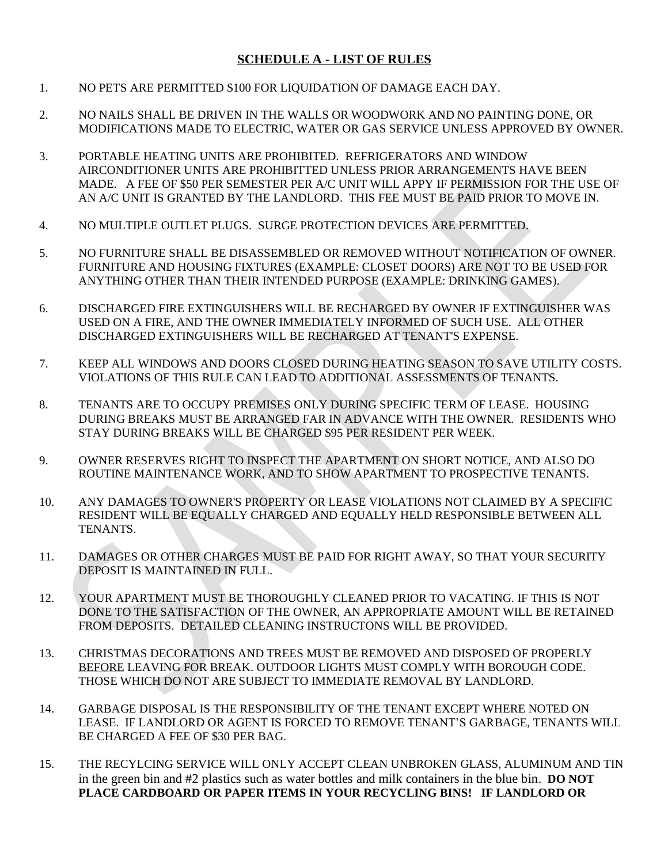## **SCHEDULE A - LIST OF RULES**

- 1. NO PETS ARE PERMITTED \$100 FOR LIQUIDATION OF DAMAGE EACH DAY.
- 2. NO NAILS SHALL BE DRIVEN IN THE WALLS OR WOODWORK AND NO PAINTING DONE, OR MODIFICATIONS MADE TO ELECTRIC, WATER OR GAS SERVICE UNLESS APPROVED BY OWNER.
- 3. PORTABLE HEATING UNITS ARE PROHIBITED. REFRIGERATORS AND WINDOW AIRCONDITIONER UNITS ARE PROHIBITTED UNLESS PRIOR ARRANGEMENTS HAVE BEEN MADE. A FEE OF \$50 PER SEMESTER PER A/C UNIT WILL APPY IF PERMISSION FOR THE USE OF AN A/C UNIT IS GRANTED BY THE LANDLORD. THIS FEE MUST BE PAID PRIOR TO MOVE IN.
- 4. NO MULTIPLE OUTLET PLUGS. SURGE PROTECTION DEVICES ARE PERMITTED.
- 5. NO FURNITURE SHALL BE DISASSEMBLED OR REMOVED WITHOUT NOTIFICATION OF OWNER. FURNITURE AND HOUSING FIXTURES (EXAMPLE: CLOSET DOORS) ARE NOT TO BE USED FOR ANYTHING OTHER THAN THEIR INTENDED PURPOSE (EXAMPLE: DRINKING GAMES).
- 6. DISCHARGED FIRE EXTINGUISHERS WILL BE RECHARGED BY OWNER IF EXTINGUISHER WAS USED ON A FIRE, AND THE OWNER IMMEDIATELY INFORMED OF SUCH USE. ALL OTHER DISCHARGED EXTINGUISHERS WILL BE RECHARGED AT TENANT'S EXPENSE.
- 7. KEEP ALL WINDOWS AND DOORS CLOSED DURING HEATING SEASON TO SAVE UTILITY COSTS. VIOLATIONS OF THIS RULE CAN LEAD TO ADDITIONAL ASSESSMENTS OF TENANTS.
- 8. TENANTS ARE TO OCCUPY PREMISES ONLY DURING SPECIFIC TERM OF LEASE. HOUSING DURING BREAKS MUST BE ARRANGED FAR IN ADVANCE WITH THE OWNER. RESIDENTS WHO STAY DURING BREAKS WILL BE CHARGED \$95 PER RESIDENT PER WEEK.
- 9. OWNER RESERVES RIGHT TO INSPECT THE APARTMENT ON SHORT NOTICE, AND ALSO DO ROUTINE MAINTENANCE WORK, AND TO SHOW APARTMENT TO PROSPECTIVE TENANTS.
- 10. ANY DAMAGES TO OWNER'S PROPERTY OR LEASE VIOLATIONS NOT CLAIMED BY A SPECIFIC RESIDENT WILL BE EQUALLY CHARGED AND EQUALLY HELD RESPONSIBLE BETWEEN ALL TENANTS.
- 11. DAMAGES OR OTHER CHARGES MUST BE PAID FOR RIGHT AWAY, SO THAT YOUR SECURITY DEPOSIT IS MAINTAINED IN FULL.
- 12. YOUR APARTMENT MUST BE THOROUGHLY CLEANED PRIOR TO VACATING. IF THIS IS NOT DONE TO THE SATISFACTION OF THE OWNER, AN APPROPRIATE AMOUNT WILL BE RETAINED FROM DEPOSITS. DETAILED CLEANING INSTRUCTONS WILL BE PROVIDED.
- 13. CHRISTMAS DECORATIONS AND TREES MUST BE REMOVED AND DISPOSED OF PROPERLY BEFORE LEAVING FOR BREAK. OUTDOOR LIGHTS MUST COMPLY WITH BOROUGH CODE. THOSE WHICH DO NOT ARE SUBJECT TO IMMEDIATE REMOVAL BY LANDLORD.
- 14. GARBAGE DISPOSAL IS THE RESPONSIBILITY OF THE TENANT EXCEPT WHERE NOTED ON LEASE. IF LANDLORD OR AGENT IS FORCED TO REMOVE TENANT'S GARBAGE, TENANTS WILL BE CHARGED A FEE OF \$30 PER BAG.
- 15. THE RECYLCING SERVICE WILL ONLY ACCEPT CLEAN UNBROKEN GLASS, ALUMINUM AND TIN in the green bin and #2 plastics such as water bottles and milk containers in the blue bin. **DO NOT PLACE CARDBOARD OR PAPER ITEMS IN YOUR RECYCLING BINS! IF LANDLORD OR**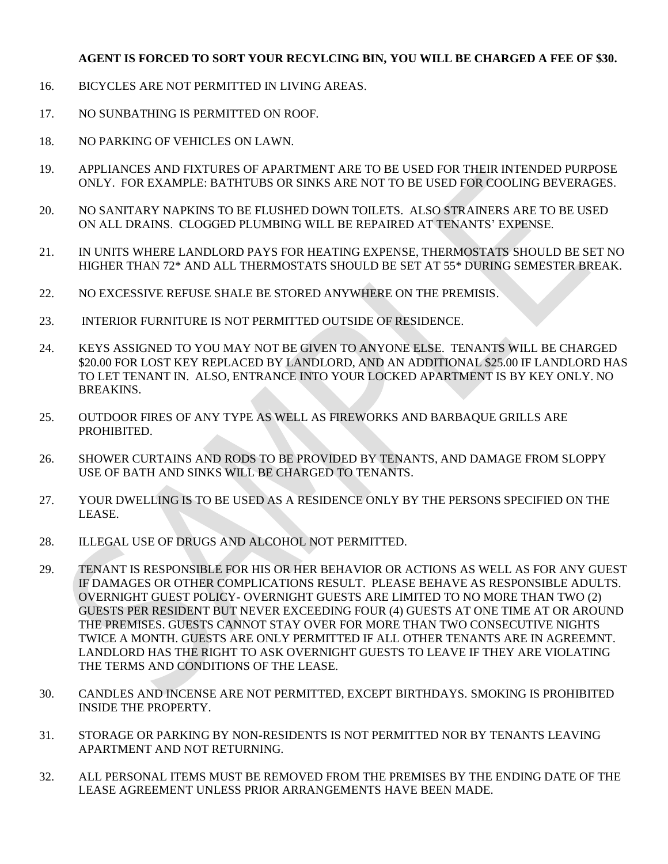### **AGENT IS FORCED TO SORT YOUR RECYLCING BIN, YOU WILL BE CHARGED A FEE OF \$30.**

- 16. BICYCLES ARE NOT PERMITTED IN LIVING AREAS.
- 17. NO SUNBATHING IS PERMITTED ON ROOF.
- 18. NO PARKING OF VEHICLES ON LAWN.
- 19. APPLIANCES AND FIXTURES OF APARTMENT ARE TO BE USED FOR THEIR INTENDED PURPOSE ONLY. FOR EXAMPLE: BATHTUBS OR SINKS ARE NOT TO BE USED FOR COOLING BEVERAGES.
- 20. NO SANITARY NAPKINS TO BE FLUSHED DOWN TOILETS. ALSO STRAINERS ARE TO BE USED ON ALL DRAINS. CLOGGED PLUMBING WILL BE REPAIRED AT TENANTS' EXPENSE.
- 21. IN UNITS WHERE LANDLORD PAYS FOR HEATING EXPENSE, THERMOSTATS SHOULD BE SET NO HIGHER THAN 72\* AND ALL THERMOSTATS SHOULD BE SET AT 55\* DURING SEMESTER BREAK.
- 22. NO EXCESSIVE REFUSE SHALE BE STORED ANYWHERE ON THE PREMISIS.
- 23. INTERIOR FURNITURE IS NOT PERMITTED OUTSIDE OF RESIDENCE.
- 24. KEYS ASSIGNED TO YOU MAY NOT BE GIVEN TO ANYONE ELSE. TENANTS WILL BE CHARGED \$20.00 FOR LOST KEY REPLACED BY LANDLORD, AND AN ADDITIONAL \$25.00 IF LANDLORD HAS TO LET TENANT IN. ALSO, ENTRANCE INTO YOUR LOCKED APARTMENT IS BY KEY ONLY. NO BREAKINS.
- 25. OUTDOOR FIRES OF ANY TYPE AS WELL AS FIREWORKS AND BARBAQUE GRILLS ARE PROHIBITED.
- 26. SHOWER CURTAINS AND RODS TO BE PROVIDED BY TENANTS, AND DAMAGE FROM SLOPPY USE OF BATH AND SINKS WILL BE CHARGED TO TENANTS.
- 27. YOUR DWELLING IS TO BE USED AS A RESIDENCE ONLY BY THE PERSONS SPECIFIED ON THE LEASE.
- 28. ILLEGAL USE OF DRUGS AND ALCOHOL NOT PERMITTED.
- 29. TENANT IS RESPONSIBLE FOR HIS OR HER BEHAVIOR OR ACTIONS AS WELL AS FOR ANY GUEST IF DAMAGES OR OTHER COMPLICATIONS RESULT. PLEASE BEHAVE AS RESPONSIBLE ADULTS. OVERNIGHT GUEST POLICY- OVERNIGHT GUESTS ARE LIMITED TO NO MORE THAN TWO (2) GUESTS PER RESIDENT BUT NEVER EXCEEDING FOUR (4) GUESTS AT ONE TIME AT OR AROUND THE PREMISES. GUESTS CANNOT STAY OVER FOR MORE THAN TWO CONSECUTIVE NIGHTS TWICE A MONTH. GUESTS ARE ONLY PERMITTED IF ALL OTHER TENANTS ARE IN AGREEMNT. LANDLORD HAS THE RIGHT TO ASK OVERNIGHT GUESTS TO LEAVE IF THEY ARE VIOLATING THE TERMS AND CONDITIONS OF THE LEASE.
- 30. CANDLES AND INCENSE ARE NOT PERMITTED, EXCEPT BIRTHDAYS. SMOKING IS PROHIBITED INSIDE THE PROPERTY.
- 31. STORAGE OR PARKING BY NON-RESIDENTS IS NOT PERMITTED NOR BY TENANTS LEAVING APARTMENT AND NOT RETURNING.
- 32. ALL PERSONAL ITEMS MUST BE REMOVED FROM THE PREMISES BY THE ENDING DATE OF THE LEASE AGREEMENT UNLESS PRIOR ARRANGEMENTS HAVE BEEN MADE.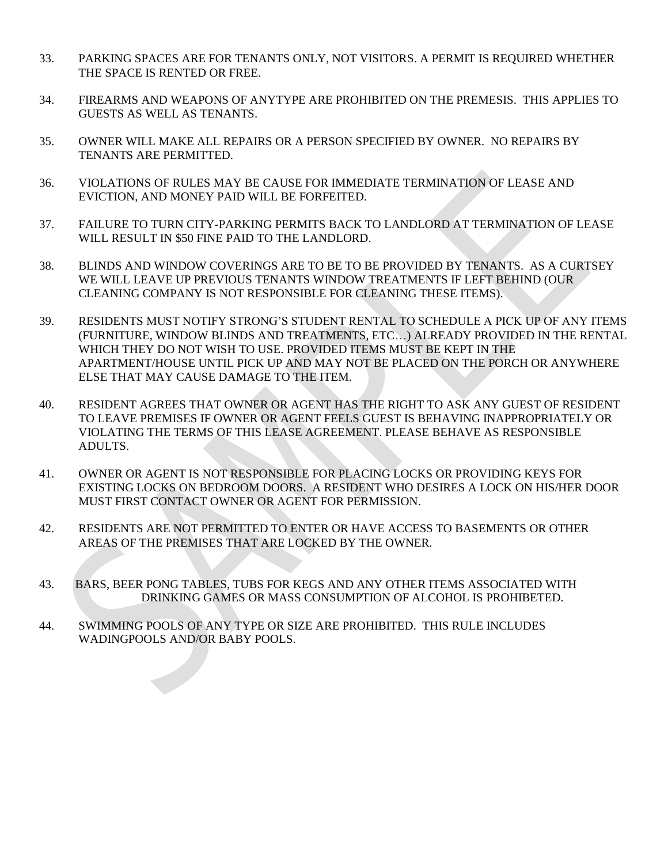- 33. PARKING SPACES ARE FOR TENANTS ONLY, NOT VISITORS. A PERMIT IS REQUIRED WHETHER THE SPACE IS RENTED OR FREE.
- 34. FIREARMS AND WEAPONS OF ANYTYPE ARE PROHIBITED ON THE PREMESIS. THIS APPLIES TO GUESTS AS WELL AS TENANTS.
- 35. OWNER WILL MAKE ALL REPAIRS OR A PERSON SPECIFIED BY OWNER. NO REPAIRS BY TENANTS ARE PERMITTED.
- 36. VIOLATIONS OF RULES MAY BE CAUSE FOR IMMEDIATE TERMINATION OF LEASE AND EVICTION, AND MONEY PAID WILL BE FORFEITED.
- 37. FAILURE TO TURN CITY-PARKING PERMITS BACK TO LANDLORD AT TERMINATION OF LEASE WILL RESULT IN \$50 FINE PAID TO THE LANDLORD.
- 38. BLINDS AND WINDOW COVERINGS ARE TO BE TO BE PROVIDED BY TENANTS. AS A CURTSEY WE WILL LEAVE UP PREVIOUS TENANTS WINDOW TREATMENTS IF LEFT BEHIND (OUR CLEANING COMPANY IS NOT RESPONSIBLE FOR CLEANING THESE ITEMS).
- 39. RESIDENTS MUST NOTIFY STRONG'S STUDENT RENTAL TO SCHEDULE A PICK UP OF ANY ITEMS (FURNITURE, WINDOW BLINDS AND TREATMENTS, ETC...) ALREADY PROVIDED IN THE RENTAL WHICH THEY DO NOT WISH TO USE. PROVIDED ITEMS MUST BE KEPT IN THE APARTMENT/HOUSE UNTIL PICK UP AND MAY NOT BE PLACED ON THE PORCH OR ANYWHERE ELSE THAT MAY CAUSE DAMAGE TO THE ITEM.
- 40. RESIDENT AGREES THAT OWNER OR AGENT HAS THE RIGHT TO ASK ANY GUEST OF RESIDENT TO LEAVE PREMISES IF OWNER OR AGENT FEELS GUEST IS BEHAVING INAPPROPRIATELY OR VIOLATING THE TERMS OF THIS LEASE AGREEMENT. PLEASE BEHAVE AS RESPONSIBLE ADULTS.
- 41. OWNER OR AGENT IS NOT RESPONSIBLE FOR PLACING LOCKS OR PROVIDING KEYS FOR EXISTING LOCKS ON BEDROOM DOORS. A RESIDENT WHO DESIRES A LOCK ON HIS/HER DOOR MUST FIRST CONTACT OWNER OR AGENT FOR PERMISSION.
- 42. RESIDENTS ARE NOT PERMITTED TO ENTER OR HAVE ACCESS TO BASEMENTS OR OTHER AREAS OF THE PREMISES THAT ARE LOCKED BY THE OWNER.
- 43. BARS, BEER PONG TABLES, TUBS FOR KEGS AND ANY OTHER ITEMS ASSOCIATED WITH DRINKING GAMES OR MASS CONSUMPTION OF ALCOHOL IS PROHIBETED.
- 44. SWIMMING POOLS OF ANY TYPE OR SIZE ARE PROHIBITED. THIS RULE INCLUDES WADINGPOOLS AND/OR BABY POOLS.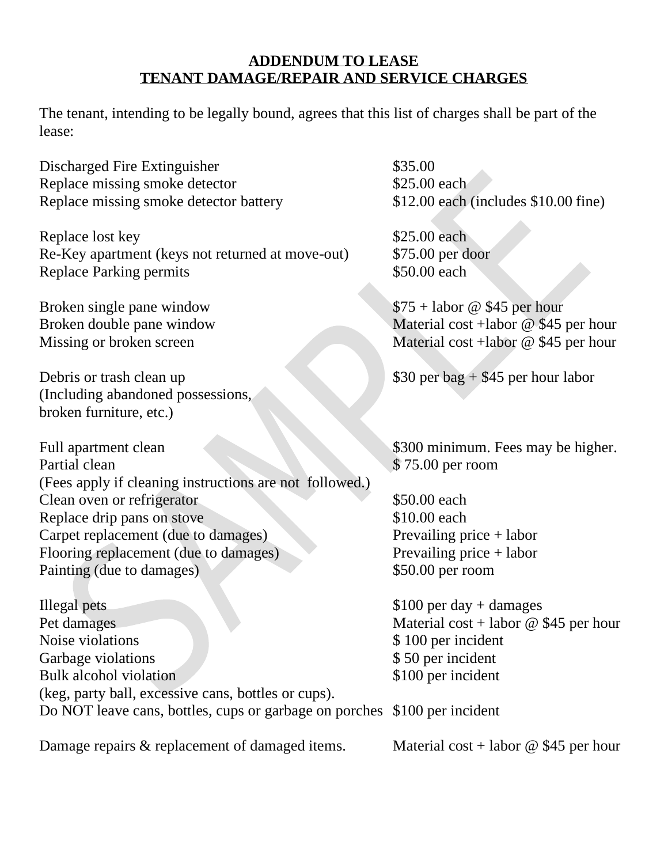# **ADDENDUM TO LEASE TENANT DAMAGE/REPAIR AND SERVICE CHARGES**

The tenant, intending to be legally bound, agrees that this list of charges shall be part of the lease:

Discharged Fire Extinguisher \$35.00 Replace missing smoke detector \$25.00 each Replace missing smoke detector battery \$12.00 each (includes \$10.00 fine)

Replace lost key \$25.00 each Re-Key apartment (keys not returned at move-out) \$75.00 per door Replace Parking permits  $$50.00$  each

Debris or trash clean up  $$30$  per bag + \$45 per hour labor (Including abandoned possessions, broken furniture, etc.)

Full apartment clean \$300 minimum. Fees may be higher. Partial clean \$ 75.00 per room (Fees apply if cleaning instructions are not followed.) Clean oven or refrigerator \$50.00 each Replace drip pans on stove \$10.00 each Carpet replacement (due to damages) Prevailing price + labor Flooring replacement (due to damages) Prevailing price + labor Painting (due to damages) \$50.00 per room

Illegal pets \$100 per day + damages Pet damages Material cost + labor @ \$45 per hour Noise violations  $$ 100 per incident$ Garbage violations  $$ 50 per incident$ Bulk alcohol violation \$100 per incident (keg, party ball, excessive cans, bottles or cups). Do NOT leave cans, bottles, cups or garbage on porches \$100 per incident

Damage repairs & replacement of damaged items. Material cost + labor @ \$45 per hour

Broken single pane window \$75 + labor @ \$45 per hour Broken double pane window Material cost +labor @ \$45 per hour Missing or broken screen Material cost +labor @ \$45 per hour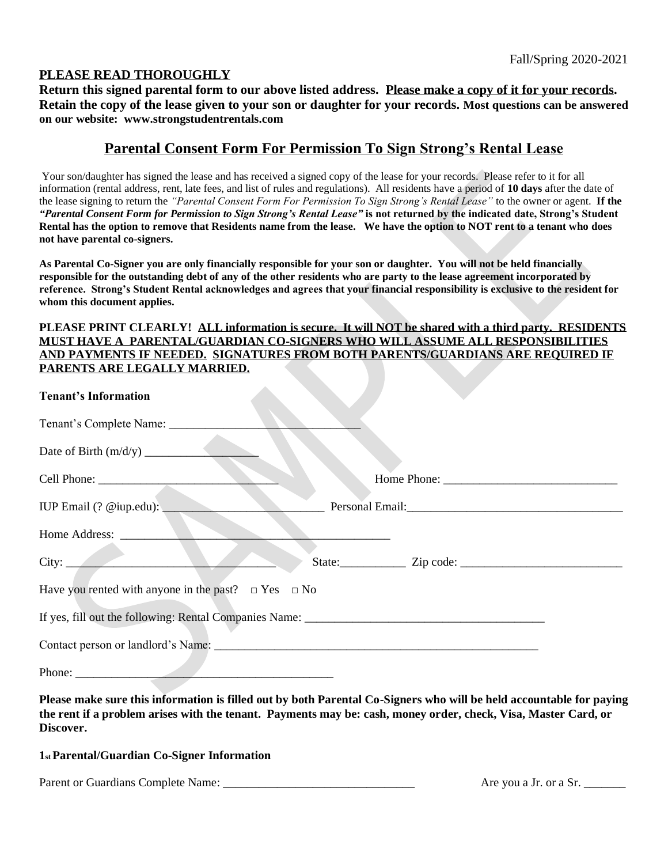## **PLEASE READ THOROUGHLY**

**Return this signed parental form to our above listed address. Please make a copy of it for your records. Retain the copy of the lease given to your son or daughter for your records. Most questions can be answered on our website: www.strongstudentrentals.com**

## **Parental Consent Form For Permission To Sign Strong's Rental Lease**

Your son/daughter has signed the lease and has received a signed copy of the lease for your records. Please refer to it for all information (rental address, rent, late fees, and list of rules and regulations). All residents have a period of **10 days** after the date of the lease signing to return the *"Parental Consent Form For Permission To Sign Strong's Rental Lease"* to the owner or agent. **If the**  *"Parental Consent Form for Permission to Sign Strong's Rental Lease"* **is not returned by the indicated date, Strong's Student Rental has the option to remove that Residents name from the lease. We have the option to NOT rent to a tenant who does not have parental co-signers.** 

**As Parental Co-Signer you are only financially responsible for your son or daughter. You will not be held financially responsible for the outstanding debt of any of the other residents who are party to the lease agreement incorporated by reference. Strong's Student Rental acknowledges and agrees that your financial responsibility is exclusive to the resident for whom this document applies.** 

### **PLEASE PRINT CLEARLY! ALL information is secure. It will NOT be shared with a third party. RESIDENTS MUST HAVE A PARENTAL/GUARDIAN CO-SIGNERS WHO WILL ASSUME ALL RESPONSIBILITIES AND PAYMENTS IF NEEDED. SIGNATURES FROM BOTH PARENTS/GUARDIANS ARE REQUIRED IF PARENTS ARE LEGALLY MARRIED.**

| <b>Tenant's Information</b>                                   |                                                                                                                 |
|---------------------------------------------------------------|-----------------------------------------------------------------------------------------------------------------|
| Tenant's Complete Name: __________                            |                                                                                                                 |
|                                                               |                                                                                                                 |
|                                                               |                                                                                                                 |
| IUP Email (? @iup.edu):                                       | Personal Email: National Secretary Analysis and Secretary Analysis and American Secretary Analysis and American |
| Home Address:                                                 |                                                                                                                 |
|                                                               |                                                                                                                 |
| Have you rented with anyone in the past? $\Box$ Yes $\Box$ No |                                                                                                                 |
|                                                               |                                                                                                                 |
|                                                               |                                                                                                                 |
| Phone: $\frac{1}{\sqrt{1-\frac{1}{2}}\cdot\frac{1}{2}}$       |                                                                                                                 |

**Please make sure this information is filled out by both Parental Co-Signers who will be held accountable for paying the rent if a problem arises with the tenant. Payments may be: cash, money order, check, Visa, Master Card, or Discover.**

## **1st Parental/Guardian Co-Signer Information**

Parent or Guardians Complete Name: \_\_\_\_\_\_\_\_\_\_\_\_\_\_\_\_\_\_\_\_\_\_\_\_\_\_\_\_\_\_\_\_ Are you a Jr. or a Sr. \_\_\_\_\_\_\_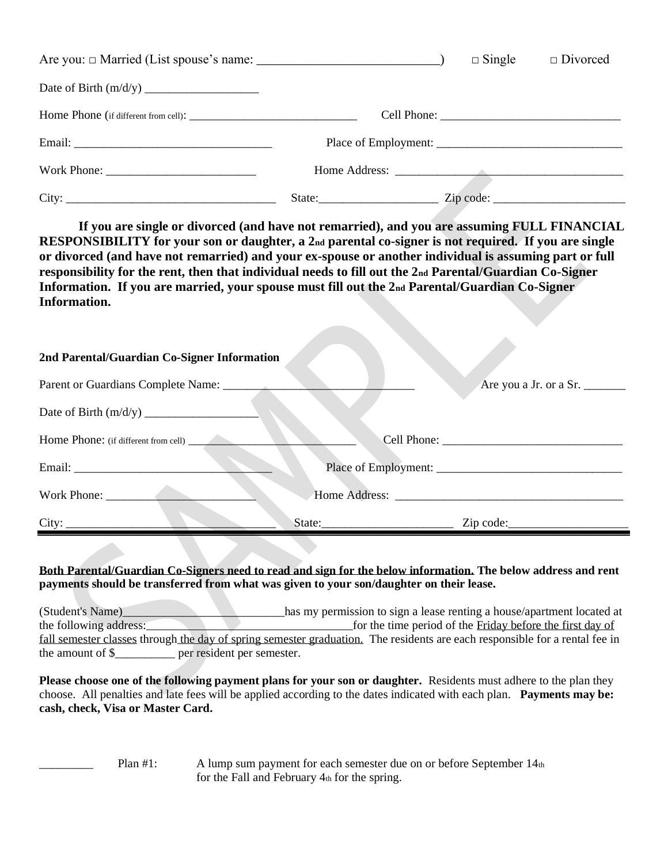|                                                           | $\Box$ Single | $\Box$ Divorced        |
|-----------------------------------------------------------|---------------|------------------------|
|                                                           |               |                        |
|                                                           |               |                        |
|                                                           |               |                        |
|                                                           |               |                        |
| State: $\frac{1}{\sqrt{1-\frac{1}{2}} \cdot \frac{1}{2}}$ |               | $\mathsf{Zip code:}\_$ |

**If you are single or divorced (and have not remarried), and you are assuming FULL FINANCIAL RESPONSIBILITY for your son or daughter, a 2nd parental co-signer is not required. If you are single or divorced (and have not remarried) and your ex-spouse or another individual is assuming part or full responsibility for the rent, then that individual needs to fill out the 2nd Parental/Guardian Co-Signer Information. If you are married, your spouse must fill out the 2nd Parental/Guardian Co-Signer Information.** 

 $\mathcal{L}$ 

| 2nd Parental/Guardian Co-Signer Information |        |                        |  |  |
|---------------------------------------------|--------|------------------------|--|--|
| Parent or Guardians Complete Name:          |        | Are you a Jr. or a Sr. |  |  |
|                                             |        |                        |  |  |
| Home Phone: (if different from cell)        |        |                        |  |  |
|                                             |        |                        |  |  |
|                                             |        |                        |  |  |
| City:                                       | State: | Zip code:              |  |  |

### **Both Parental/Guardian Co-Signers need to read and sign for the below information. The below address and rent payments should be transferred from what was given to your son/daughter on their lease.**

(Student's Name)\_\_\_\_\_\_\_\_\_\_\_\_\_\_\_\_\_\_\_\_\_\_\_has my permission to sign a lease renting a house/apartment located at the following address: for the time period of the Friday before the first day of fall semester classes through the day of spring semester graduation. The residents are each responsible for a rental fee in the amount of \$\_\_\_\_\_\_\_\_\_\_ per resident per semester.

**Please choose one of the following payment plans for your son or daughter.** Residents must adhere to the plan they choose. All penalties and late fees will be applied according to the dates indicated with each plan. **Payments may be: cash, check, Visa or Master Card.**

> Plan  $\#1$ : A lump sum payment for each semester due on or before September  $14<sub>th</sub>$ for the Fall and February 4th for the spring.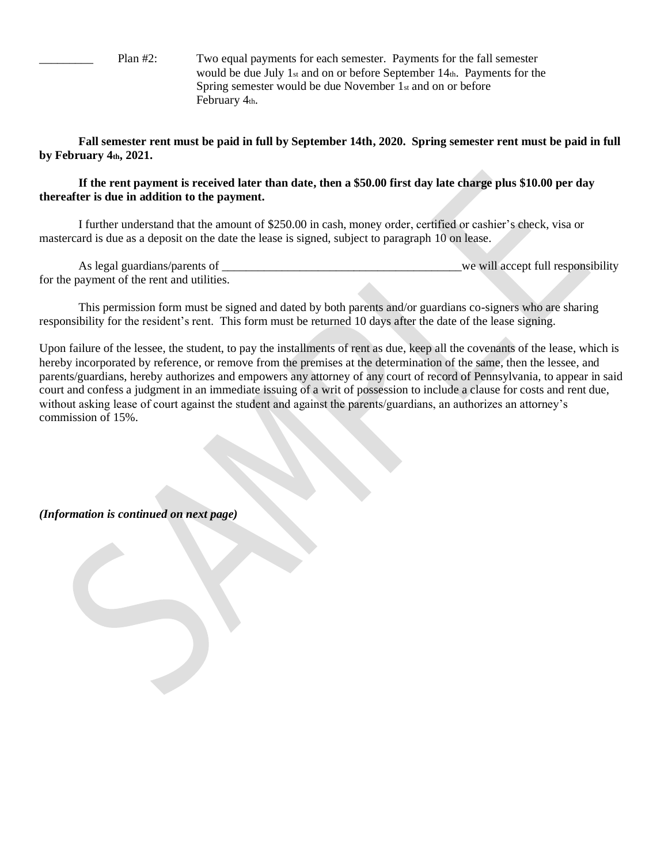Plan #2: Two equal payments for each semester. Payments for the fall semester would be due July 1st and on or before September 14th. Payments for the Spring semester would be due November 1st and on or before February 4th.

**Fall semester rent must be paid in full by September 14th, 2020. Spring semester rent must be paid in full by February 4th, 2021.**

### **If the rent payment is received later than date, then a \$50.00 first day late charge plus \$10.00 per day thereafter is due in addition to the payment.**

I further understand that the amount of \$250.00 in cash, money order, certified or cashier's check, visa or mastercard is due as a deposit on the date the lease is signed, subject to paragraph 10 on lease.

| As legal guardians/parents of              | we will accept full responsibility |
|--------------------------------------------|------------------------------------|
| for the payment of the rent and utilities. |                                    |

This permission form must be signed and dated by both parents and/or guardians co-signers who are sharing responsibility for the resident's rent. This form must be returned 10 days after the date of the lease signing.

Upon failure of the lessee, the student, to pay the installments of rent as due, keep all the covenants of the lease, which is hereby incorporated by reference, or remove from the premises at the determination of the same, then the lessee, and parents/guardians, hereby authorizes and empowers any attorney of any court of record of Pennsylvania, to appear in said court and confess a judgment in an immediate issuing of a writ of possession to include a clause for costs and rent due, without asking lease of court against the student and against the parents/guardians, an authorizes an attorney's commission of 15%.

*(Information is continued on next page)*